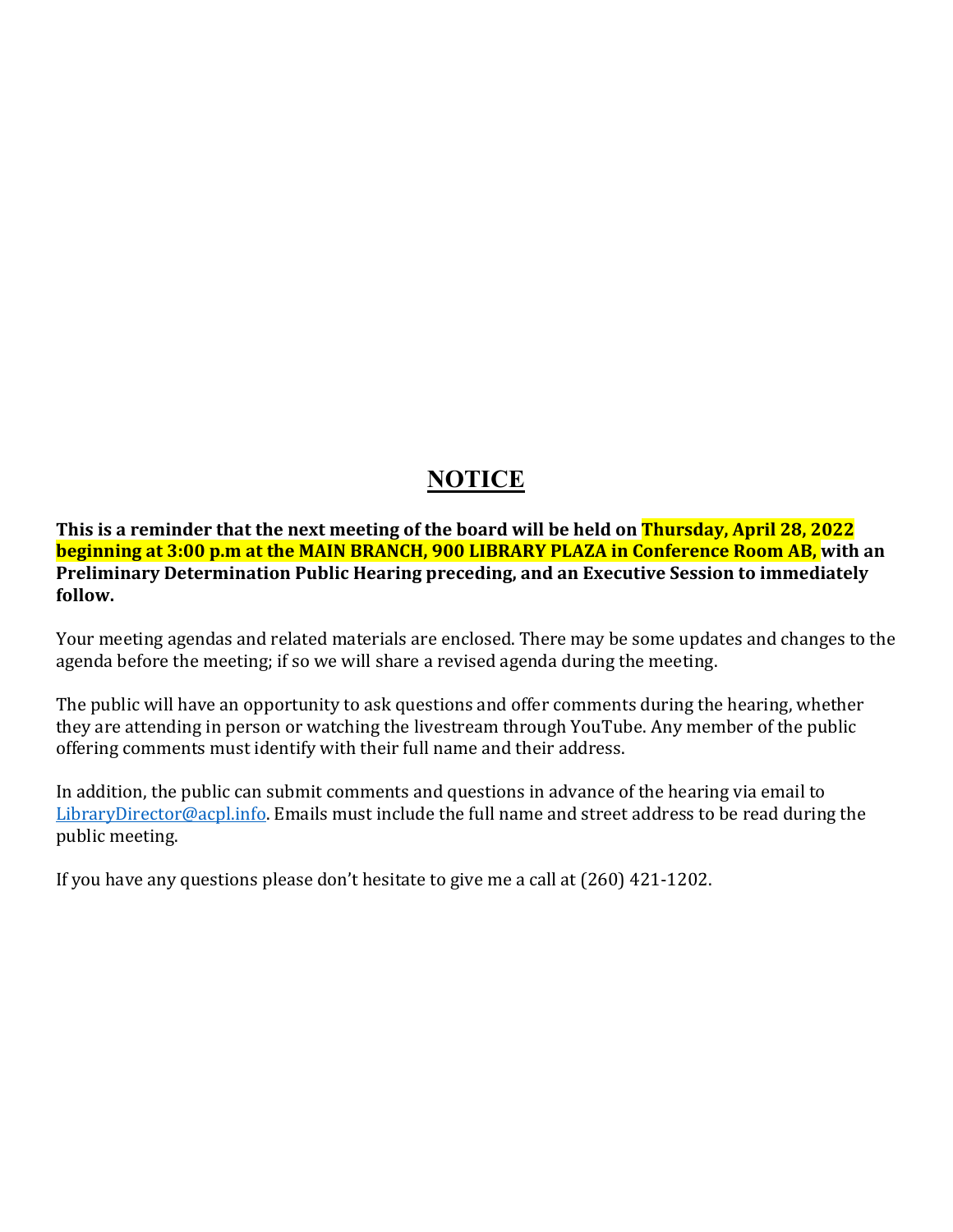# **NOTICE**

**This is a reminder that the next meeting of the board will be held on Thursday, April 28, 2022 beginning at 3:00 p.m at the MAIN BRANCH, 900 LIBRARY PLAZA in Conference Room AB, with an Preliminary Determination Public Hearing preceding, and an Executive Session to immediately follow.** 

Your meeting agendas and related materials are enclosed. There may be some updates and changes to the agenda before the meeting; if so we will share a revised agenda during the meeting.

The public will have an opportunity to ask questions and offer comments during the hearing, whether they are attending in person or watching the livestream through YouTube. Any member of the public offering comments must identify with their full name and their address.

In addition, the public can submit comments and questions in advance of the hearing via email to [LibraryDirector@acpl.info.](mailto:LibraryDirector@acpl.info) Emails must include the full name and street address to be read during the public meeting.

If you have any questions please don't hesitate to give me a call at (260) 421-1202.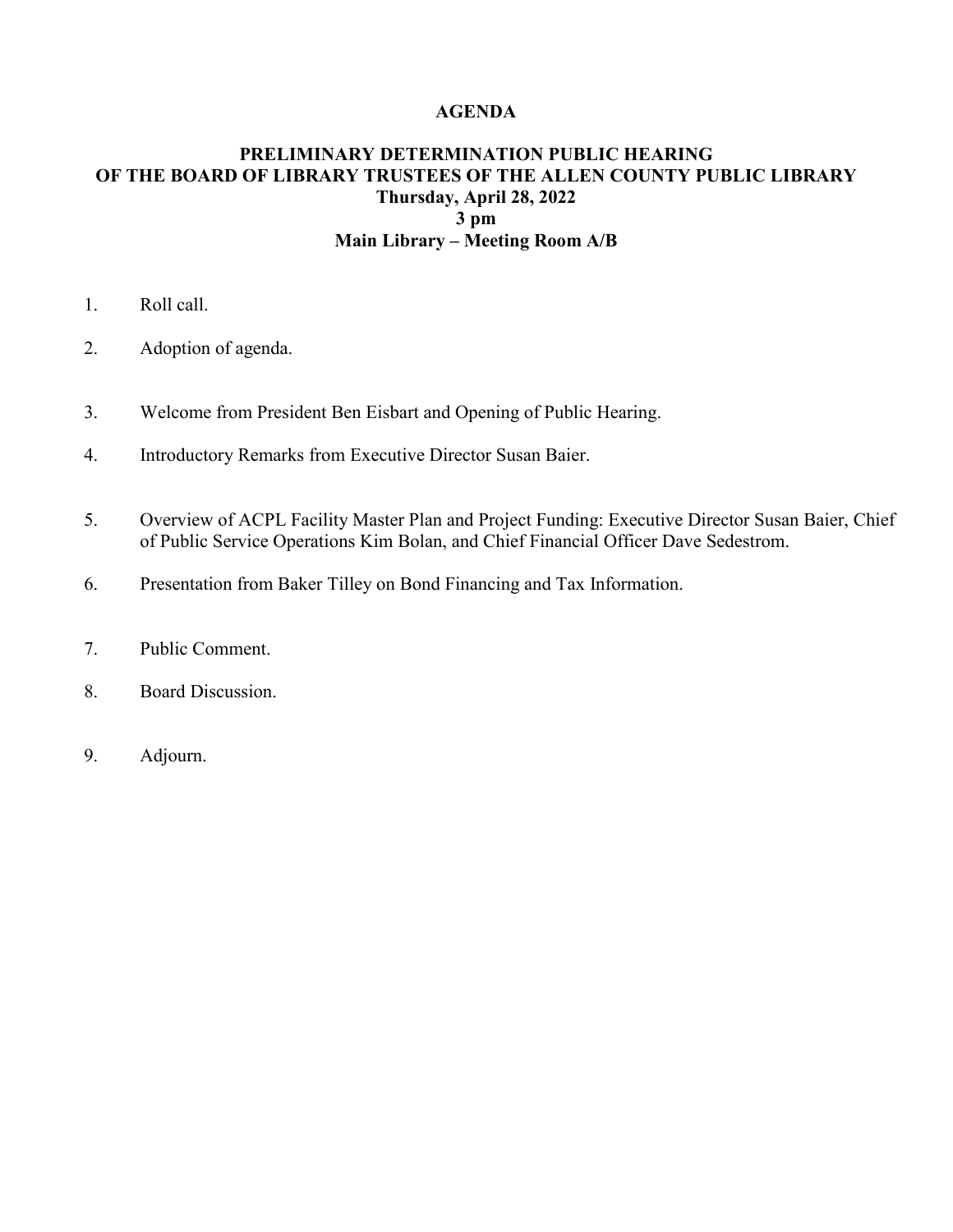#### **AGENDA**

## **PRELIMINARY DETERMINATION PUBLIC HEARING OF THE BOARD OF LIBRARY TRUSTEES OF THE ALLEN COUNTY PUBLIC LIBRARY Thursday, April 28, 2022 3 pm Main Library – Meeting Room A/B**

- 1. Roll call.
- 2. Adoption of agenda.
- 3. Welcome from President Ben Eisbart and Opening of Public Hearing.
- 4. Introductory Remarks from Executive Director Susan Baier.
- 5. Overview of ACPL Facility Master Plan and Project Funding: Executive Director Susan Baier, Chief of Public Service Operations Kim Bolan, and Chief Financial Officer Dave Sedestrom.
- 6. Presentation from Baker Tilley on Bond Financing and Tax Information.
- 7. Public Comment.
- 8. Board Discussion.
- 9. Adjourn.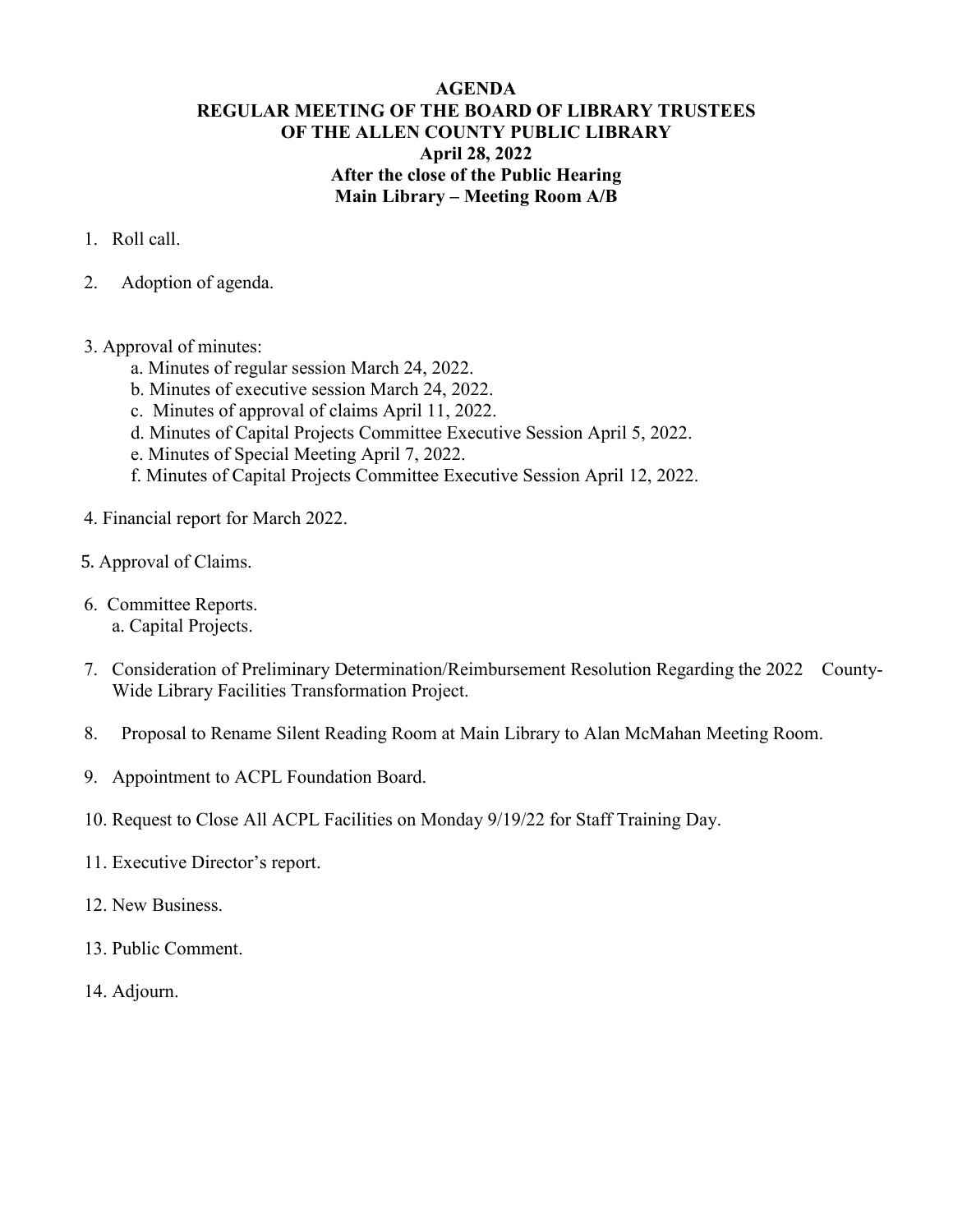## **AGENDA REGULAR MEETING OF THE BOARD OF LIBRARY TRUSTEES OF THE ALLEN COUNTY PUBLIC LIBRARY April 28, 2022 After the close of the Public Hearing Main Library – Meeting Room A/B**

- 1. Roll call.
- 2. Adoption of agenda.
- 3. Approval of minutes:
	- a. Minutes of regular session March 24, 2022.
	- b. Minutes of executive session March 24, 2022.
	- c. Minutes of approval of claims April 11, 2022.
	- d. Minutes of Capital Projects Committee Executive Session April 5, 2022.
	- e. Minutes of Special Meeting April 7, 2022.
	- f. Minutes of Capital Projects Committee Executive Session April 12, 2022.
- 4. Financial report for March 2022.
- 5. Approval of Claims.
- 6. Committee Reports. a. Capital Projects.
- 7. Consideration of Preliminary Determination/Reimbursement Resolution Regarding the 2022 County-Wide Library Facilities Transformation Project.
- 8. Proposal to Rename Silent Reading Room at Main Library to Alan McMahan Meeting Room.
- 9. Appointment to ACPL Foundation Board.
- 10. Request to Close All ACPL Facilities on Monday 9/19/22 for Staff Training Day.
- 11. Executive Director's report.
- 12. New Business.
- 13. Public Comment.
- 14. Adjourn.